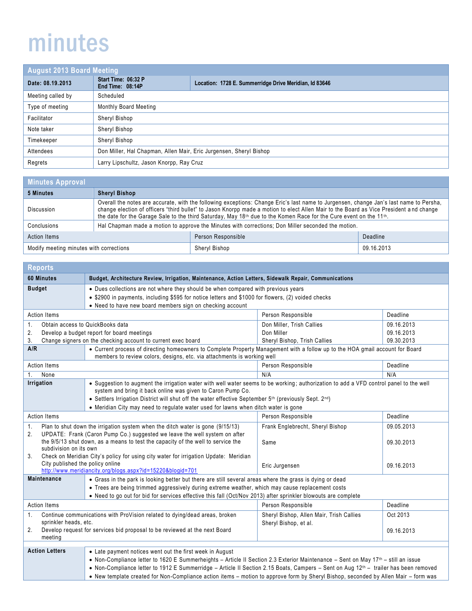## minutes

| <b>August 2013 Board Meeting</b> |                                                                    |                                                        |
|----------------------------------|--------------------------------------------------------------------|--------------------------------------------------------|
| Date: 08.19.2013                 | Start Time: 06:32 P<br>End Time: 08:14P                            | Location: 1728 E. Summerridge Drive Meridian, Id 83646 |
| Meeting called by                | Scheduled                                                          |                                                        |
| Type of meeting                  | Monthly Board Meeting                                              |                                                        |
| Facilitator                      | Sheryl Bishop                                                      |                                                        |
| Note taker                       | Sheryl Bishop                                                      |                                                        |
| Timekeeper                       | Sheryl Bishop                                                      |                                                        |
| Attendees                        | Don Miller, Hal Chapman, Allen Mair, Eric Jurgensen, Sheryl Bishop |                                                        |
| Regrets                          | Larry Lipschultz, Jason Knorpp, Ray Cruz                           |                                                        |

| <b>Minutes Approval</b>                 |                                                                                                                                                                                                                                                                                                                                                                                                                                 |                    |            |
|-----------------------------------------|---------------------------------------------------------------------------------------------------------------------------------------------------------------------------------------------------------------------------------------------------------------------------------------------------------------------------------------------------------------------------------------------------------------------------------|--------------------|------------|
| 5 Minutes                               | <b>Sheryl Bishop</b>                                                                                                                                                                                                                                                                                                                                                                                                            |                    |            |
| <b>Discussion</b>                       | Overall the notes are accurate, with the following exceptions: Change Eric's last name to Jurgensen, change Jan's last name to Persha,<br>change election of officers "third bullet" to Jason Knorpp made a motion to elect Allen Mair to the Board as Vice President and change<br>the date for the Garage Sale to the third Saturday, May 18 <sup>th</sup> due to the Komen Race for the Cure event on the 11 <sup>th</sup> . |                    |            |
| Conclusions                             | Hal Chapman made a motion to approve the Minutes with corrections; Don Miller seconded the motion.                                                                                                                                                                                                                                                                                                                              |                    |            |
| <b>Action Items</b>                     |                                                                                                                                                                                                                                                                                                                                                                                                                                 | Person Responsible | Deadline   |
| Modify meeting minutes with corrections |                                                                                                                                                                                                                                                                                                                                                                                                                                 | Sheryl Bishop      | 09.16.2013 |

| <b>Reports</b>                                                                                             |                                                                                                                                                                                                                                                                                                                                                                                                      |                                          |            |
|------------------------------------------------------------------------------------------------------------|------------------------------------------------------------------------------------------------------------------------------------------------------------------------------------------------------------------------------------------------------------------------------------------------------------------------------------------------------------------------------------------------------|------------------------------------------|------------|
| 60 Minutes                                                                                                 | Budget, Architecture Review, Irrigation, Maintenance, Action Letters, Sidewalk Repair, Communications                                                                                                                                                                                                                                                                                                |                                          |            |
| <b>Budget</b>                                                                                              | • Dues collections are not where they should be when compared with previous years                                                                                                                                                                                                                                                                                                                    |                                          |            |
|                                                                                                            | • \$2900 in payments, including \$595 for notice letters and \$1000 for flowers, (2) voided checks                                                                                                                                                                                                                                                                                                   |                                          |            |
|                                                                                                            | • Need to have new board members sign on checking account                                                                                                                                                                                                                                                                                                                                            |                                          |            |
| <b>Action Items</b>                                                                                        |                                                                                                                                                                                                                                                                                                                                                                                                      | Person Responsible                       | Deadline   |
| 1.                                                                                                         | Obtain access to QuickBooks data                                                                                                                                                                                                                                                                                                                                                                     | Don Miller, Trish Callies                | 09.16.2013 |
| 2.                                                                                                         | Develop a budget report for board meetings                                                                                                                                                                                                                                                                                                                                                           | Don Miller                               | 09.16.2013 |
| 3.                                                                                                         | Change signers on the checking account to current exec board                                                                                                                                                                                                                                                                                                                                         | Sheryl Bishop, Trish Callies             | 09.30.2013 |
| A/R                                                                                                        | • Current process of directing homeowners to Complete Property Management with a follow up to the HOA gmail account for Board<br>members to review colors, designs, etc. via attachments is working well                                                                                                                                                                                             |                                          |            |
| <b>Action Items</b>                                                                                        |                                                                                                                                                                                                                                                                                                                                                                                                      | Person Responsible                       | Deadline   |
| None<br>1.                                                                                                 |                                                                                                                                                                                                                                                                                                                                                                                                      | N/A                                      | N/A        |
| Irrigation                                                                                                 | . Suggestion to augment the irrigation water with well water seems to be working; authorization to add a VFD control panel to the well<br>system and bring it back online was given to Caron Pump Co.<br>• Settlers Irrigation District will shut off the water effective September 5th (previously Sept. 2nd)<br>• Meridian City may need to regulate water used for lawns when ditch water is gone |                                          |            |
| <b>Action Items</b>                                                                                        |                                                                                                                                                                                                                                                                                                                                                                                                      | Person Responsible                       | Deadline   |
| Plan to shut down the irrigation system when the ditch water is gone (9/15/13)<br>$\mathbf{1}$ .           |                                                                                                                                                                                                                                                                                                                                                                                                      | Frank Englebrecht, Sheryl Bishop         | 09.05.2013 |
| 2.                                                                                                         | UPDATE: Frank (Caron Pump Co.) suggested we leave the well system on after                                                                                                                                                                                                                                                                                                                           |                                          |            |
| the 9/5/13 shut down, as a means to test the capacity of the well to service the<br>subdivision on its own |                                                                                                                                                                                                                                                                                                                                                                                                      | Same                                     | 09.30.2013 |
| 3.                                                                                                         | Check on Meridian City's policy for using city water for irrigation Update: Meridian                                                                                                                                                                                                                                                                                                                 |                                          |            |
| City published the policy online                                                                           |                                                                                                                                                                                                                                                                                                                                                                                                      | Eric Jurgensen                           | 09.16.2013 |
|                                                                                                            | http://www.meridiancity.org/blogs.aspx?id=15220&blogid=701                                                                                                                                                                                                                                                                                                                                           |                                          |            |
| <b>Maintenance</b>                                                                                         | • Grass in the park is looking better but there are still several areas where the grass is dying or dead                                                                                                                                                                                                                                                                                             |                                          |            |
|                                                                                                            | • Trees are being trimmed aggressively during extreme weather, which may cause replacement costs                                                                                                                                                                                                                                                                                                     |                                          |            |
|                                                                                                            | • Need to go out for bid for services effective this fall (Oct/Nov 2013) after sprinkler blowouts are complete                                                                                                                                                                                                                                                                                       |                                          |            |
| <b>Action Items</b>                                                                                        |                                                                                                                                                                                                                                                                                                                                                                                                      | Person Responsible                       | Deadline   |
| 1.<br>Continue communications with ProVision related to dying/dead areas, broken                           |                                                                                                                                                                                                                                                                                                                                                                                                      | Sheryl Bishop, Allen Mair, Trish Callies | Oct 2013   |
| sprinkler heads, etc.                                                                                      |                                                                                                                                                                                                                                                                                                                                                                                                      | Sheryl Bishop, et al.                    |            |
| Develop request for services bid proposal to be reviewed at the next Board<br>2.<br>meeting                |                                                                                                                                                                                                                                                                                                                                                                                                      |                                          | 09.16.2013 |
|                                                                                                            |                                                                                                                                                                                                                                                                                                                                                                                                      |                                          |            |
| <b>Action Letters</b>                                                                                      | • Late payment notices went out the first week in August                                                                                                                                                                                                                                                                                                                                             |                                          |            |
|                                                                                                            | • Non-Compliance letter to 1620 E Summerheights – Article II Section 2.3 Exterior Maintenance – Sent on May 17 <sup>th</sup> – still an issue                                                                                                                                                                                                                                                        |                                          |            |
|                                                                                                            | • Non-Compliance letter to 1912 E Summerridge - Article II Section 2.15 Boats, Campers - Sent on Aug 12 <sup>th</sup> - trailer has been removed                                                                                                                                                                                                                                                     |                                          |            |
|                                                                                                            | . New template created for Non-Compliance action items - motion to approve form by Sheryl Bishop, seconded by Allen Mair - form was                                                                                                                                                                                                                                                                  |                                          |            |